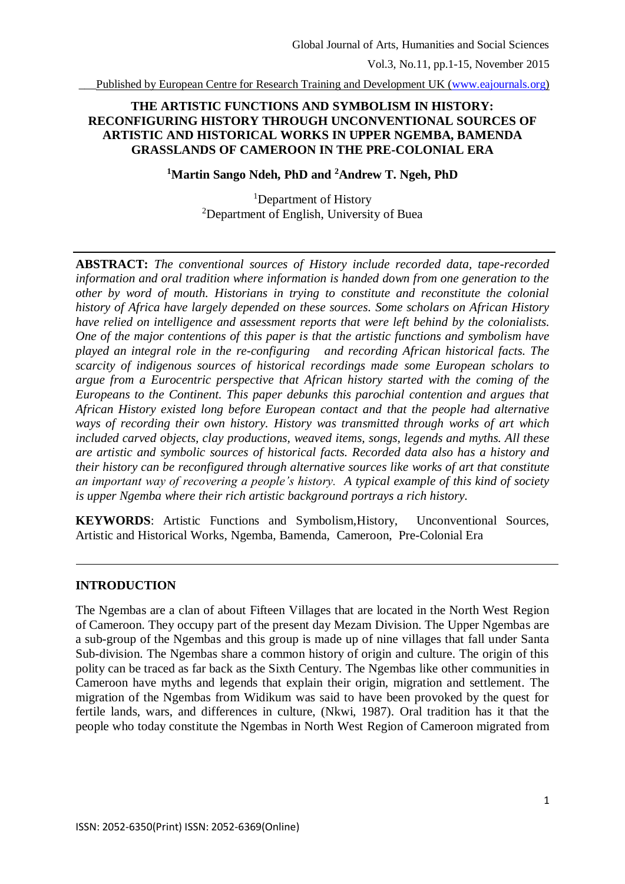Published by European Centre for Research Training and Development UK [\(www.eajournals.org\)](http://www.eajournals.org/)

## **THE ARTISTIC FUNCTIONS AND SYMBOLISM IN HISTORY: RECONFIGURING HISTORY THROUGH UNCONVENTIONAL SOURCES OF ARTISTIC AND HISTORICAL WORKS IN UPPER NGEMBA, BAMENDA GRASSLANDS OF CAMEROON IN THE PRE-COLONIAL ERA**

## **<sup>1</sup>Martin Sango Ndeh, PhD and <sup>2</sup>Andrew T. Ngeh, PhD**

<sup>1</sup>Department of History  $2$ Department of English, University of Buea

**ABSTRACT:** *The conventional sources of History include recorded data, tape-recorded information and oral tradition where information is handed down from one generation to the other by word of mouth. Historians in trying to constitute and reconstitute the colonial history of Africa have largely depended on these sources. Some scholars on African History have relied on intelligence and assessment reports that were left behind by the colonialists. One of the major contentions of this paper is that the artistic functions and symbolism have played an integral role in the re-configuring and recording African historical facts. The scarcity of indigenous sources of historical recordings made some European scholars to argue from a Eurocentric perspective that African history started with the coming of the Europeans to the Continent. This paper debunks this parochial contention and argues that African History existed long before European contact and that the people had alternative ways of recording their own history. History was transmitted through works of art which included carved objects, clay productions, weaved items, songs, legends and myths. All these are artistic and symbolic sources of historical facts. Recorded data also has a history and their history can be reconfigured through alternative sources like works of art that constitute an important way of recovering a people's history. A typical example of this kind of society is upper Ngemba where their rich artistic background portrays a rich history.*

**KEYWORDS**: Artistic Functions and Symbolism,History, Unconventional Sources, Artistic and Historical Works, Ngemba, Bamenda, Cameroon, Pre-Colonial Era

#### **INTRODUCTION**

The Ngembas are a clan of about Fifteen Villages that are located in the North West Region of Cameroon. They occupy part of the present day Mezam Division. The Upper Ngembas are a sub-group of the Ngembas and this group is made up of nine villages that fall under Santa Sub-division. The Ngembas share a common history of origin and culture. The origin of this polity can be traced as far back as the Sixth Century. The Ngembas like other communities in Cameroon have myths and legends that explain their origin, migration and settlement. The migration of the Ngembas from Widikum was said to have been provoked by the quest for fertile lands, wars, and differences in culture, (Nkwi, 1987). Oral tradition has it that the people who today constitute the Ngembas in North West Region of Cameroon migrated from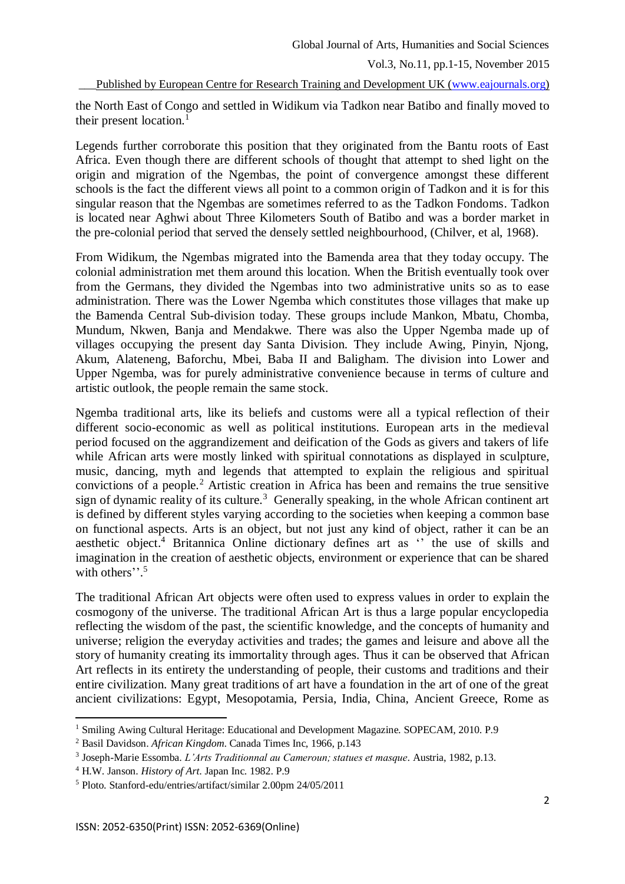\_\_\_Published by European Centre for Research Training and Development UK [\(www.eajournals.org\)](http://www.eajournals.org/)

the North East of Congo and settled in Widikum via Tadkon near Batibo and finally moved to their present location. $<sup>1</sup>$ </sup>

Legends further corroborate this position that they originated from the Bantu roots of East Africa. Even though there are different schools of thought that attempt to shed light on the origin and migration of the Ngembas, the point of convergence amongst these different schools is the fact the different views all point to a common origin of Tadkon and it is for this singular reason that the Ngembas are sometimes referred to as the Tadkon Fondoms. Tadkon is located near Aghwi about Three Kilometers South of Batibo and was a border market in the pre-colonial period that served the densely settled neighbourhood, (Chilver, et al, 1968).

From Widikum, the Ngembas migrated into the Bamenda area that they today occupy. The colonial administration met them around this location. When the British eventually took over from the Germans, they divided the Ngembas into two administrative units so as to ease administration. There was the Lower Ngemba which constitutes those villages that make up the Bamenda Central Sub-division today. These groups include Mankon, Mbatu, Chomba, Mundum, Nkwen, Banja and Mendakwe. There was also the Upper Ngemba made up of villages occupying the present day Santa Division. They include Awing, Pinyin, Njong, Akum, Alateneng, Baforchu, Mbei, Baba II and Baligham. The division into Lower and Upper Ngemba, was for purely administrative convenience because in terms of culture and artistic outlook, the people remain the same stock.

Ngemba traditional arts, like its beliefs and customs were all a typical reflection of their different socio-economic as well as political institutions. European arts in the medieval period focused on the aggrandizement and deification of the Gods as givers and takers of life while African arts were mostly linked with spiritual connotations as displayed in sculpture, music, dancing, myth and legends that attempted to explain the religious and spiritual convictions of a people.<sup>2</sup> Artistic creation in Africa has been and remains the true sensitive sign of dynamic reality of its culture.<sup>3</sup> Generally speaking, in the whole African continent art is defined by different styles varying according to the societies when keeping a common base on functional aspects. Arts is an object, but not just any kind of object, rather it can be an aesthetic object.<sup>4</sup> Britannica Online dictionary defines art as " the use of skills and imagination in the creation of aesthetic objects, environment or experience that can be shared with others".<sup>5</sup>

The traditional African Art objects were often used to express values in order to explain the cosmogony of the universe. The traditional African Art is thus a large popular encyclopedia reflecting the wisdom of the past, the scientific knowledge, and the concepts of humanity and universe; religion the everyday activities and trades; the games and leisure and above all the story of humanity creating its immortality through ages. Thus it can be observed that African Art reflects in its entirety the understanding of people, their customs and traditions and their entire civilization. Many great traditions of art have a foundation in the art of one of the great ancient civilizations: Egypt, Mesopotamia, Persia, India, China, Ancient Greece, Rome as

**.** 

<sup>&</sup>lt;sup>1</sup> Smiling Awing Cultural Heritage: Educational and Development Magazine. SOPECAM, 2010. P.9

<sup>2</sup> Basil Davidson. *African Kingdom*. Canada Times Inc, 1966, p.143

<sup>3</sup> Joseph-Marie Essomba. *L'Arts Traditionnal au Cameroun; statues et masque*. Austria, 1982, p.13.

<sup>4</sup> H.W. Janson. *History of Art*. Japan Inc. 1982. P.9

<sup>5</sup> Ploto. Stanford-edu/entries/artifact/similar 2.00pm 24/05/2011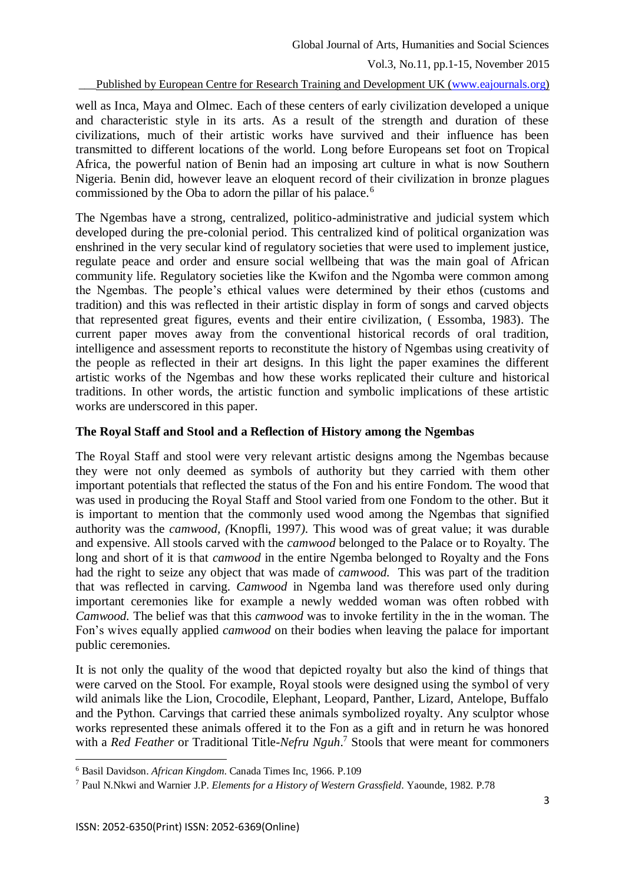Published by European Centre for Research Training and Development UK [\(www.eajournals.org\)](http://www.eajournals.org/)

well as Inca, Maya and Olmec. Each of these centers of early civilization developed a unique and characteristic style in its arts. As a result of the strength and duration of these civilizations, much of their artistic works have survived and their influence has been transmitted to different locations of the world. Long before Europeans set foot on Tropical Africa, the powerful nation of Benin had an imposing art culture in what is now Southern Nigeria. Benin did, however leave an eloquent record of their civilization in bronze plagues commissioned by the Oba to adorn the pillar of his palace.<sup>6</sup>

The Ngembas have a strong, centralized, politico-administrative and judicial system which developed during the pre-colonial period. This centralized kind of political organization was enshrined in the very secular kind of regulatory societies that were used to implement justice, regulate peace and order and ensure social wellbeing that was the main goal of African community life. Regulatory societies like the Kwifon and the Ngomba were common among the Ngembas. The people's ethical values were determined by their ethos (customs and tradition) and this was reflected in their artistic display in form of songs and carved objects that represented great figures, events and their entire civilization, ( Essomba, 1983). The current paper moves away from the conventional historical records of oral tradition, intelligence and assessment reports to reconstitute the history of Ngembas using creativity of the people as reflected in their art designs. In this light the paper examines the different artistic works of the Ngembas and how these works replicated their culture and historical traditions. In other words, the artistic function and symbolic implications of these artistic works are underscored in this paper.

### **The Royal Staff and Stool and a Reflection of History among the Ngembas**

The Royal Staff and stool were very relevant artistic designs among the Ngembas because they were not only deemed as symbols of authority but they carried with them other important potentials that reflected the status of the Fon and his entire Fondom. The wood that was used in producing the Royal Staff and Stool varied from one Fondom to the other. But it is important to mention that the commonly used wood among the Ngembas that signified authority was the *camwood, (*Knopfli, 1997*).* This wood was of great value; it was durable and expensive. All stools carved with the *camwood* belonged to the Palace or to Royalty. The long and short of it is that *camwood* in the entire Ngemba belonged to Royalty and the Fons had the right to seize any object that was made of *camwood.* This was part of the tradition that was reflected in carving. *Camwood* in Ngemba land was therefore used only during important ceremonies like for example a newly wedded woman was often robbed with *Camwood.* The belief was that this *camwood* was to invoke fertility in the in the woman. The Fon's wives equally applied *camwood* on their bodies when leaving the palace for important public ceremonies.

It is not only the quality of the wood that depicted royalty but also the kind of things that were carved on the Stool. For example, Royal stools were designed using the symbol of very wild animals like the Lion, Crocodile, Elephant, Leopard, Panther, Lizard, Antelope, Buffalo and the Python. Carvings that carried these animals symbolized royalty. Any sculptor whose works represented these animals offered it to the Fon as a gift and in return he was honored with a *Red Feather* or Traditional Title-*Nefru Nguh*. <sup>7</sup> Stools that were meant for commoners

<sup>6</sup> Basil Davidson. *African Kingdom*. Canada Times Inc, 1966. P.109

<sup>7</sup> Paul N.Nkwi and Warnier J.P*. Elements for a History of Western Grassfield*. Yaounde, 1982. P.78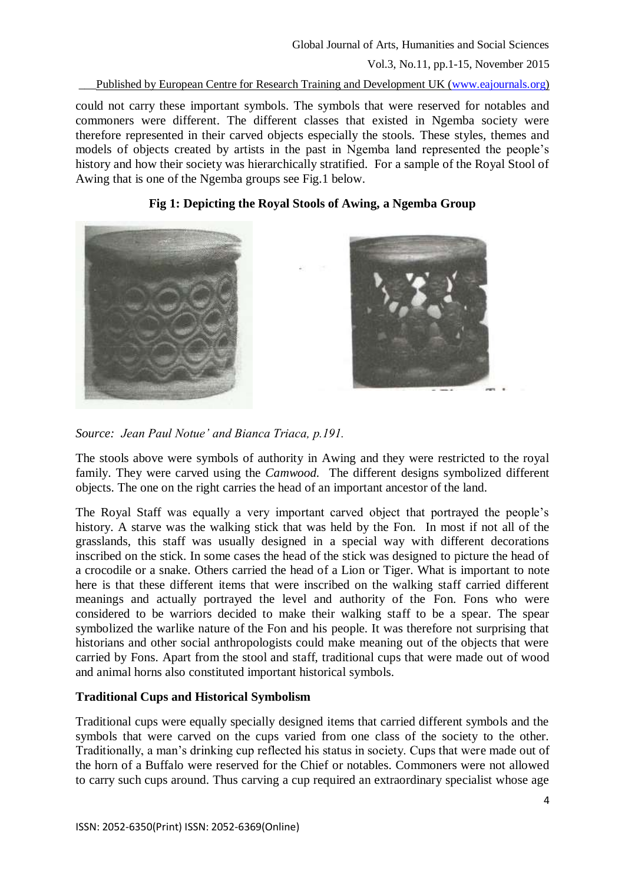#### Published by European Centre for Research Training and Development UK [\(www.eajournals.org\)](http://www.eajournals.org/)

could not carry these important symbols. The symbols that were reserved for notables and commoners were different. The different classes that existed in Ngemba society were therefore represented in their carved objects especially the stools. These styles, themes and models of objects created by artists in the past in Ngemba land represented the people's history and how their society was hierarchically stratified. For a sample of the Royal Stool of Awing that is one of the Ngemba groups see Fig.1 below.

## **Fig 1: Depicting the Royal Stools of Awing, a Ngemba Group**







The stools above were symbols of authority in Awing and they were restricted to the royal family. They were carved using the *Camwood.* The different designs symbolized different objects. The one on the right carries the head of an important ancestor of the land.

The Royal Staff was equally a very important carved object that portrayed the people's history. A starve was the walking stick that was held by the Fon. In most if not all of the grasslands, this staff was usually designed in a special way with different decorations inscribed on the stick. In some cases the head of the stick was designed to picture the head of a crocodile or a snake. Others carried the head of a Lion or Tiger. What is important to note here is that these different items that were inscribed on the walking staff carried different meanings and actually portrayed the level and authority of the Fon. Fons who were considered to be warriors decided to make their walking staff to be a spear. The spear symbolized the warlike nature of the Fon and his people. It was therefore not surprising that historians and other social anthropologists could make meaning out of the objects that were carried by Fons. Apart from the stool and staff, traditional cups that were made out of wood and animal horns also constituted important historical symbols.

## **Traditional Cups and Historical Symbolism**

Traditional cups were equally specially designed items that carried different symbols and the symbols that were carved on the cups varied from one class of the society to the other. Traditionally, a man's drinking cup reflected his status in society. Cups that were made out of the horn of a Buffalo were reserved for the Chief or notables. Commoners were not allowed to carry such cups around. Thus carving a cup required an extraordinary specialist whose age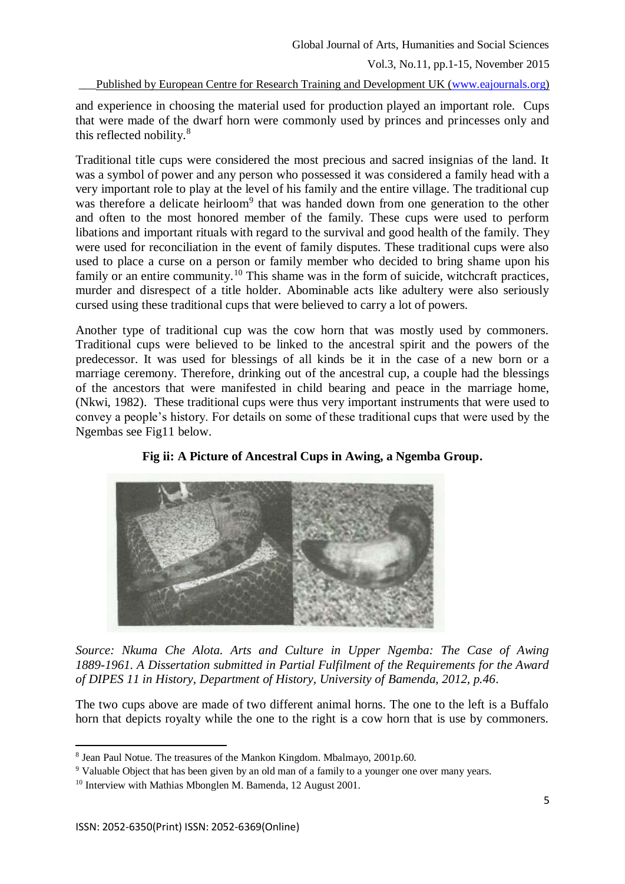Published by European Centre for Research Training and Development UK [\(www.eajournals.org\)](http://www.eajournals.org/)

and experience in choosing the material used for production played an important role. Cups that were made of the dwarf horn were commonly used by princes and princesses only and this reflected nobility.<sup>8</sup>

Traditional title cups were considered the most precious and sacred insignias of the land. It was a symbol of power and any person who possessed it was considered a family head with a very important role to play at the level of his family and the entire village. The traditional cup was therefore a delicate heirloom<sup>9</sup> that was handed down from one generation to the other and often to the most honored member of the family. These cups were used to perform libations and important rituals with regard to the survival and good health of the family. They were used for reconciliation in the event of family disputes. These traditional cups were also used to place a curse on a person or family member who decided to bring shame upon his family or an entire community.<sup>10</sup> This shame was in the form of suicide, witchcraft practices, murder and disrespect of a title holder. Abominable acts like adultery were also seriously cursed using these traditional cups that were believed to carry a lot of powers.

Another type of traditional cup was the cow horn that was mostly used by commoners. Traditional cups were believed to be linked to the ancestral spirit and the powers of the predecessor. It was used for blessings of all kinds be it in the case of a new born or a marriage ceremony. Therefore, drinking out of the ancestral cup, a couple had the blessings of the ancestors that were manifested in child bearing and peace in the marriage home, (Nkwi, 1982). These traditional cups were thus very important instruments that were used to convey a people's history. For details on some of these traditional cups that were used by the Ngembas see Fig11 below.



**Fig ii: A Picture of Ancestral Cups in Awing, a Ngemba Group.**

*Source: Nkuma Che Alota. Arts and Culture in Upper Ngemba: The Case of Awing 1889-1961. A Dissertation submitted in Partial Fulfilment of the Requirements for the Award of DIPES 11 in History, Department of History, University of Bamenda, 2012, p.46.*

The two cups above are made of two different animal horns. The one to the left is a Buffalo horn that depicts royalty while the one to the right is a cow horn that is use by commoners.

<sup>8</sup> Jean Paul Notue. The treasures of the Mankon Kingdom. Mbalmayo, 2001p.60.

<sup>&</sup>lt;sup>9</sup> Valuable Object that has been given by an old man of a family to a younger one over many years.

<sup>&</sup>lt;sup>10</sup> Interview with Mathias Mbonglen M. Bamenda, 12 August 2001.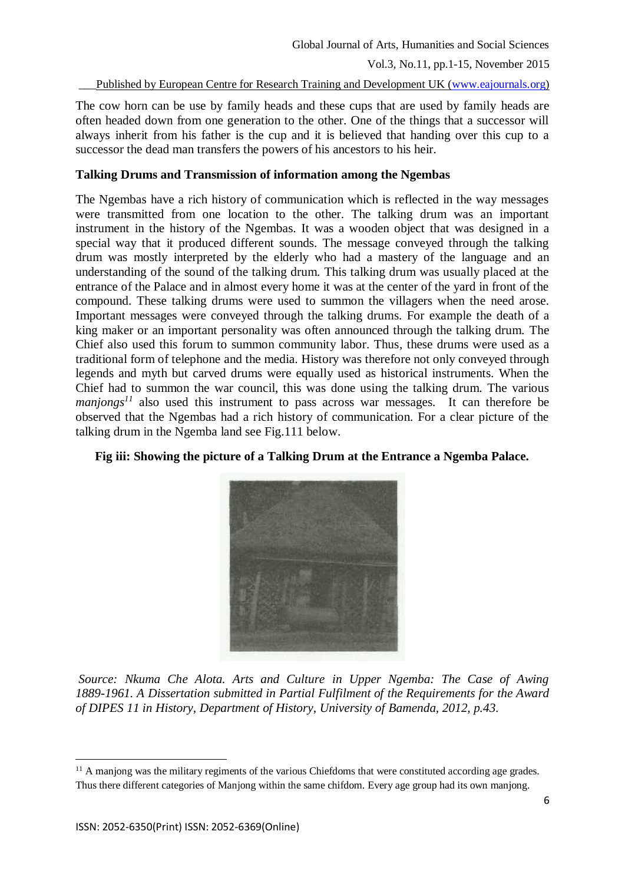Published by European Centre for Research Training and Development UK [\(www.eajournals.org\)](http://www.eajournals.org/)

The cow horn can be use by family heads and these cups that are used by family heads are often headed down from one generation to the other. One of the things that a successor will always inherit from his father is the cup and it is believed that handing over this cup to a successor the dead man transfers the powers of his ancestors to his heir.

## **Talking Drums and Transmission of information among the Ngembas**

The Ngembas have a rich history of communication which is reflected in the way messages were transmitted from one location to the other. The talking drum was an important instrument in the history of the Ngembas. It was a wooden object that was designed in a special way that it produced different sounds. The message conveyed through the talking drum was mostly interpreted by the elderly who had a mastery of the language and an understanding of the sound of the talking drum. This talking drum was usually placed at the entrance of the Palace and in almost every home it was at the center of the yard in front of the compound. These talking drums were used to summon the villagers when the need arose. Important messages were conveyed through the talking drums. For example the death of a king maker or an important personality was often announced through the talking drum. The Chief also used this forum to summon community labor. Thus, these drums were used as a traditional form of telephone and the media. History was therefore not only conveyed through legends and myth but carved drums were equally used as historical instruments. When the Chief had to summon the war council, this was done using the talking drum. The various *manjongs*<sup>11</sup> also used this instrument to pass across war messages. It can therefore be observed that the Ngembas had a rich history of communication. For a clear picture of the talking drum in the Ngemba land see Fig.111 below.

## **Fig iii: Showing the picture of a Talking Drum at the Entrance a Ngemba Palace.**



*Source: Nkuma Che Alota. Arts and Culture in Upper Ngemba: The Case of Awing 1889-1961. A Dissertation submitted in Partial Fulfilment of the Requirements for the Award of DIPES 11 in History, Department of History, University of Bamenda, 2012, p.43.*

 $11$  A manjong was the military regiments of the various Chiefdoms that were constituted according age grades. Thus there different categories of Manjong within the same chifdom. Every age group had its own manjong.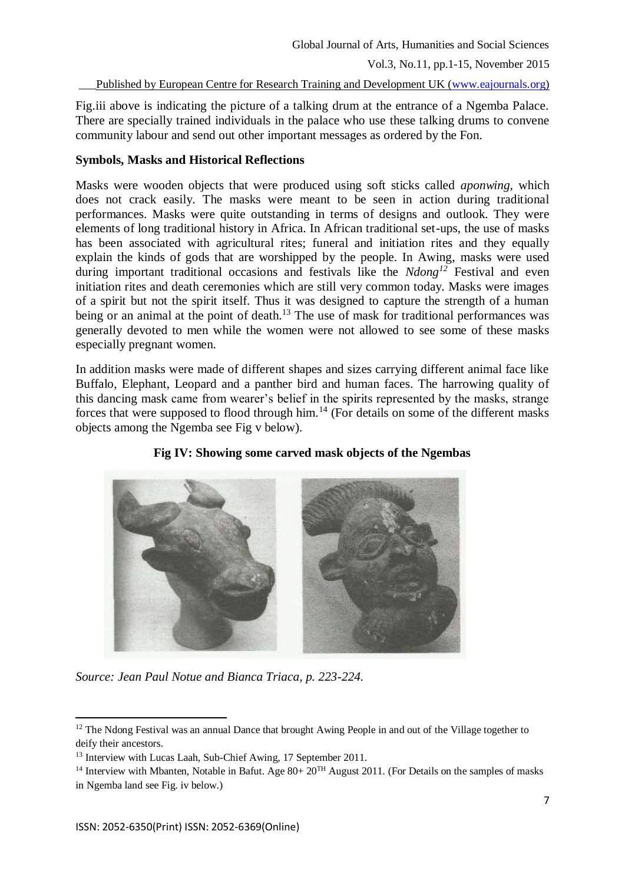Published by European Centre for Research Training and Development UK [\(www.eajournals.org\)](http://www.eajournals.org/)

Fig.iii above is indicating the picture of a talking drum at the entrance of a Ngemba Palace. There are specially trained individuals in the palace who use these talking drums to convene community labour and send out other important messages as ordered by the Fon.

# **Symbols, Masks and Historical Reflections**

Masks were wooden objects that were produced using soft sticks called *aponwing,* which does not crack easily. The masks were meant to be seen in action during traditional performances. Masks were quite outstanding in terms of designs and outlook. They were elements of long traditional history in Africa. In African traditional set-ups, the use of masks has been associated with agricultural rites; funeral and initiation rites and they equally explain the kinds of gods that are worshipped by the people. In Awing, masks were used during important traditional occasions and festivals like the *Ndong<sup>12</sup>* Festival and even initiation rites and death ceremonies which are still very common today. Masks were images of a spirit but not the spirit itself. Thus it was designed to capture the strength of a human being or an animal at the point of death.<sup>13</sup> The use of mask for traditional performances was generally devoted to men while the women were not allowed to see some of these masks especially pregnant women.

In addition masks were made of different shapes and sizes carrying different animal face like Buffalo, Elephant, Leopard and a panther bird and human faces. The harrowing quality of this dancing mask came from wearer's belief in the spirits represented by the masks, strange forces that were supposed to flood through him.<sup>14</sup> (For details on some of the different masks objects among the Ngemba see Fig v below).



**Fig IV: Showing some carved mask objects of the Ngembas**

*Source: Jean Paul Notue and Bianca Triaca, p. 223-224.*

**<sup>.</sup>** <sup>12</sup> The Ndong Festival was an annual Dance that brought Awing People in and out of the Village together to deify their ancestors.

<sup>&</sup>lt;sup>13</sup> Interview with Lucas Laah, Sub-Chief Awing, 17 September 2011.

<sup>&</sup>lt;sup>14</sup> Interview with Mbanten, Notable in Bafut. Age  $80+20^{TH}$  August 2011. (For Details on the samples of masks

in Ngemba land see Fig. iv below.)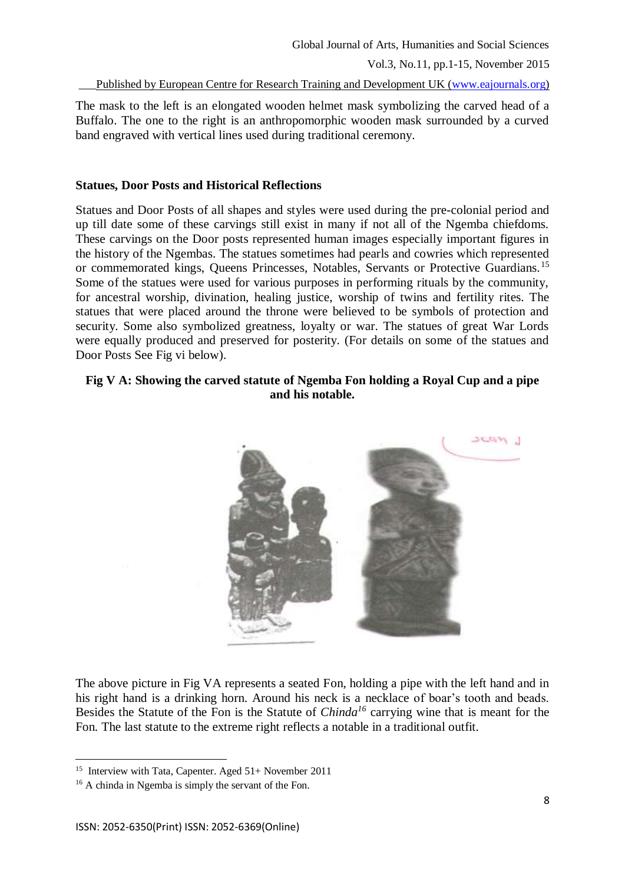Published by European Centre for Research Training and Development UK [\(www.eajournals.org\)](http://www.eajournals.org/)

The mask to the left is an elongated wooden helmet mask symbolizing the carved head of a Buffalo. The one to the right is an anthropomorphic wooden mask surrounded by a curved band engraved with vertical lines used during traditional ceremony.

#### **Statues, Door Posts and Historical Reflections**

Statues and Door Posts of all shapes and styles were used during the pre-colonial period and up till date some of these carvings still exist in many if not all of the Ngemba chiefdoms. These carvings on the Door posts represented human images especially important figures in the history of the Ngembas. The statues sometimes had pearls and cowries which represented or commemorated kings, Queens Princesses, Notables, Servants or Protective Guardians.<sup>15</sup> Some of the statues were used for various purposes in performing rituals by the community, for ancestral worship, divination, healing justice, worship of twins and fertility rites. The statues that were placed around the throne were believed to be symbols of protection and security. Some also symbolized greatness, loyalty or war. The statues of great War Lords were equally produced and preserved for posterity. (For details on some of the statues and Door Posts See Fig vi below).

## **Fig V A: Showing the carved statute of Ngemba Fon holding a Royal Cup and a pipe and his notable.**



The above picture in Fig VA represents a seated Fon, holding a pipe with the left hand and in his right hand is a drinking horn. Around his neck is a necklace of boar's tooth and beads. Besides the Statute of the Fon is the Statute of *Chinda<sup>16</sup>* carrying wine that is meant for the Fon*.* The last statute to the extreme right reflects a notable in a traditional outfit.

 15 Interview with Tata, Capenter. Aged 51+ November 2011

<sup>&</sup>lt;sup>16</sup> A chinda in Ngemba is simply the servant of the Fon.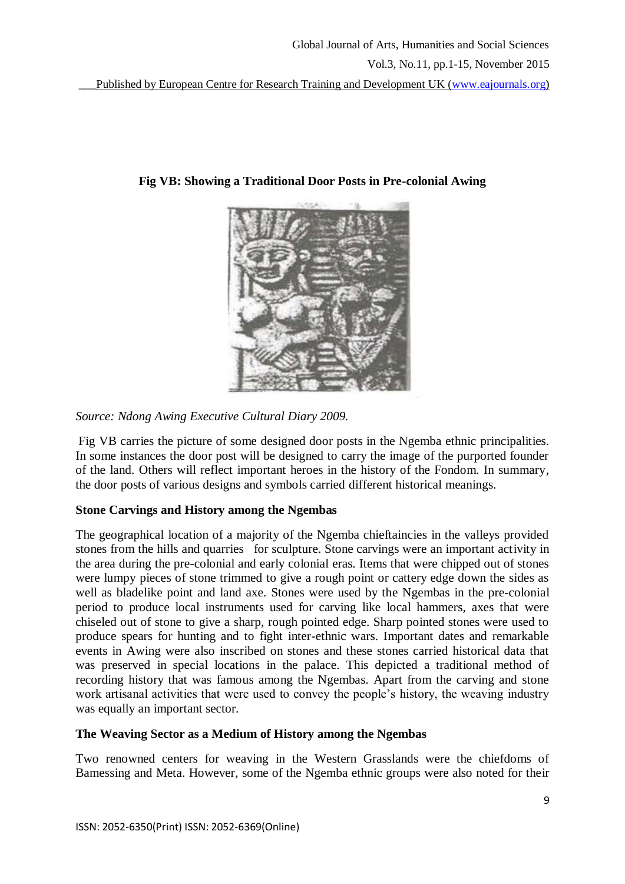

**Fig VB: Showing a Traditional Door Posts in Pre-colonial Awing**

*Source: Ndong Awing Executive Cultural Diary 2009.*

Fig VB carries the picture of some designed door posts in the Ngemba ethnic principalities. In some instances the door post will be designed to carry the image of the purported founder of the land. Others will reflect important heroes in the history of the Fondom. In summary, the door posts of various designs and symbols carried different historical meanings.

# **Stone Carvings and History among the Ngembas**

The geographical location of a majority of the Ngemba chieftaincies in the valleys provided stones from the hills and quarries for sculpture. Stone carvings were an important activity in the area during the pre-colonial and early colonial eras. Items that were chipped out of stones were lumpy pieces of stone trimmed to give a rough point or cattery edge down the sides as well as bladelike point and land axe. Stones were used by the Ngembas in the pre-colonial period to produce local instruments used for carving like local hammers, axes that were chiseled out of stone to give a sharp, rough pointed edge. Sharp pointed stones were used to produce spears for hunting and to fight inter-ethnic wars. Important dates and remarkable events in Awing were also inscribed on stones and these stones carried historical data that was preserved in special locations in the palace. This depicted a traditional method of recording history that was famous among the Ngembas. Apart from the carving and stone work artisanal activities that were used to convey the people's history, the weaving industry was equally an important sector.

## **The Weaving Sector as a Medium of History among the Ngembas**

Two renowned centers for weaving in the Western Grasslands were the chiefdoms of Bamessing and Meta. However, some of the Ngemba ethnic groups were also noted for their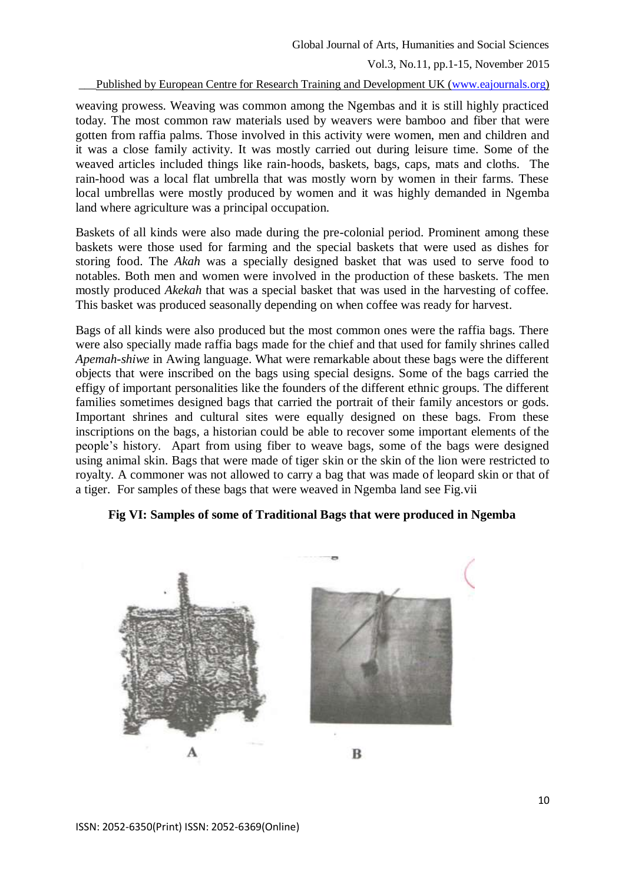Published by European Centre for Research Training and Development UK [\(www.eajournals.org\)](http://www.eajournals.org/)

weaving prowess. Weaving was common among the Ngembas and it is still highly practiced today. The most common raw materials used by weavers were bamboo and fiber that were gotten from raffia palms. Those involved in this activity were women, men and children and it was a close family activity. It was mostly carried out during leisure time. Some of the weaved articles included things like rain-hoods, baskets, bags, caps, mats and cloths. The rain-hood was a local flat umbrella that was mostly worn by women in their farms. These local umbrellas were mostly produced by women and it was highly demanded in Ngemba land where agriculture was a principal occupation.

Baskets of all kinds were also made during the pre-colonial period. Prominent among these baskets were those used for farming and the special baskets that were used as dishes for storing food. The *Akah* was a specially designed basket that was used to serve food to notables. Both men and women were involved in the production of these baskets. The men mostly produced *Akekah* that was a special basket that was used in the harvesting of coffee. This basket was produced seasonally depending on when coffee was ready for harvest.

Bags of all kinds were also produced but the most common ones were the raffia bags. There were also specially made raffia bags made for the chief and that used for family shrines called *Apemah-shiwe* in Awing language. What were remarkable about these bags were the different objects that were inscribed on the bags using special designs. Some of the bags carried the effigy of important personalities like the founders of the different ethnic groups. The different families sometimes designed bags that carried the portrait of their family ancestors or gods. Important shrines and cultural sites were equally designed on these bags. From these inscriptions on the bags, a historian could be able to recover some important elements of the people's history. Apart from using fiber to weave bags, some of the bags were designed using animal skin. Bags that were made of tiger skin or the skin of the lion were restricted to royalty. A commoner was not allowed to carry a bag that was made of leopard skin or that of a tiger. For samples of these bags that were weaved in Ngemba land see Fig.vii

### **Fig VI: Samples of some of Traditional Bags that were produced in Ngemba**

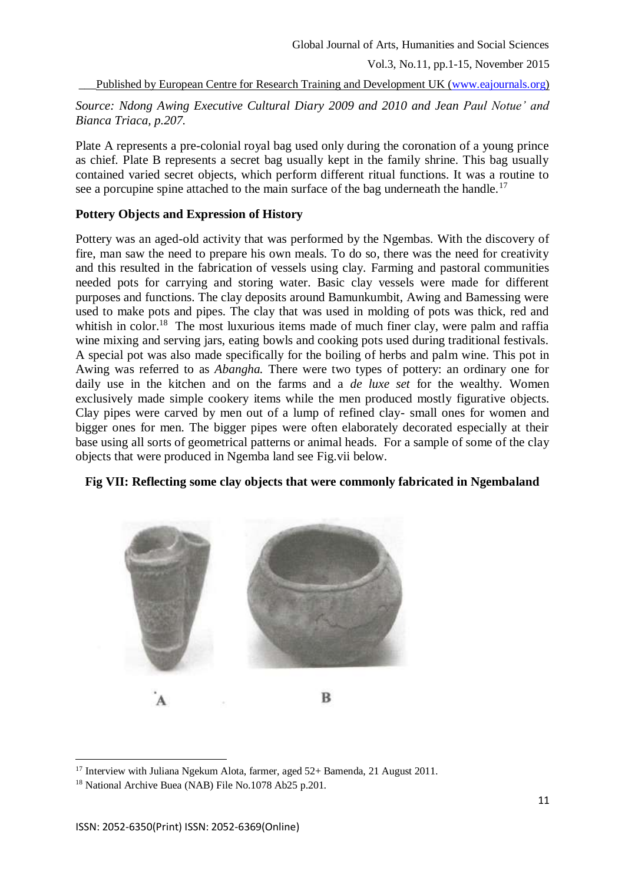Published by European Centre for Research Training and Development UK [\(www.eajournals.org\)](http://www.eajournals.org/)

*Source: Ndong Awing Executive Cultural Diary 2009 and 2010 and Jean Paul Notue' and Bianca Triaca, p.207.*

Plate A represents a pre-colonial royal bag used only during the coronation of a young prince as chief. Plate B represents a secret bag usually kept in the family shrine. This bag usually contained varied secret objects, which perform different ritual functions. It was a routine to see a porcupine spine attached to the main surface of the bag underneath the handle.<sup>17</sup>

## **Pottery Objects and Expression of History**

Pottery was an aged-old activity that was performed by the Ngembas. With the discovery of fire, man saw the need to prepare his own meals. To do so, there was the need for creativity and this resulted in the fabrication of vessels using clay. Farming and pastoral communities needed pots for carrying and storing water. Basic clay vessels were made for different purposes and functions. The clay deposits around Bamunkumbit, Awing and Bamessing were used to make pots and pipes. The clay that was used in molding of pots was thick, red and whitish in color.<sup>18</sup> The most luxurious items made of much finer clay, were palm and raffia wine mixing and serving jars, eating bowls and cooking pots used during traditional festivals. A special pot was also made specifically for the boiling of herbs and palm wine. This pot in Awing was referred to as *Abangha.* There were two types of pottery: an ordinary one for daily use in the kitchen and on the farms and a *de luxe set* for the wealthy*.* Women exclusively made simple cookery items while the men produced mostly figurative objects. Clay pipes were carved by men out of a lump of refined clay- small ones for women and bigger ones for men. The bigger pipes were often elaborately decorated especially at their base using all sorts of geometrical patterns or animal heads. For a sample of some of the clay objects that were produced in Ngemba land see Fig.vii below.

## **Fig VII: Reflecting some clay objects that were commonly fabricated in Ngembaland**



<sup>17</sup> Interview with Juliana Ngekum Alota, farmer, aged 52+ Bamenda, 21 August 2011.

<sup>18</sup> National Archive Buea (NAB) File No.1078 Ab25 p.201.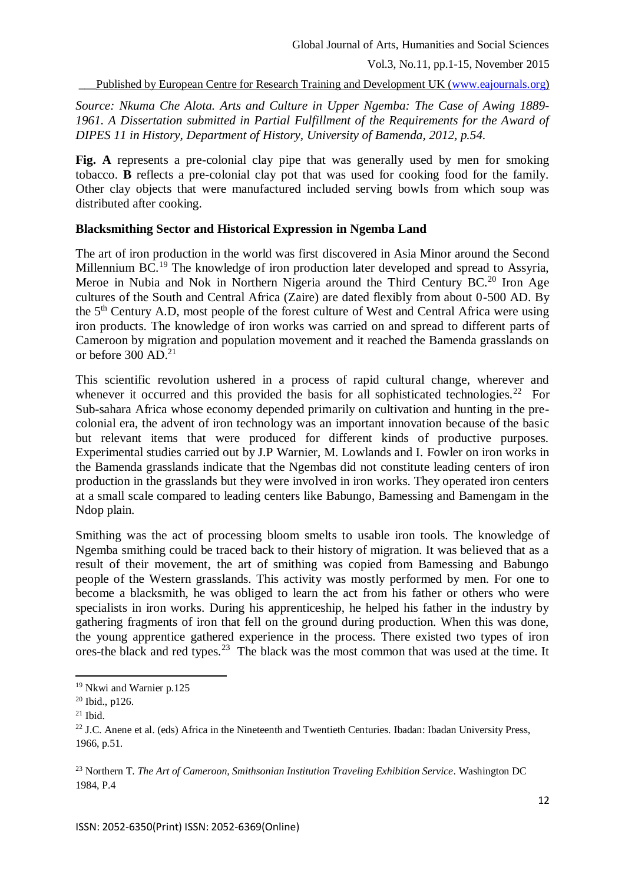Published by European Centre for Research Training and Development UK [\(www.eajournals.org\)](http://www.eajournals.org/)

*Source: Nkuma Che Alota. Arts and Culture in Upper Ngemba: The Case of Awing 1889- 1961. A Dissertation submitted in Partial Fulfillment of the Requirements for the Award of DIPES 11 in History, Department of History, University of Bamenda, 2012, p.54.*

Fig. A represents a pre-colonial clay pipe that was generally used by men for smoking tobacco. **B** reflects a pre-colonial clay pot that was used for cooking food for the family. Other clay objects that were manufactured included serving bowls from which soup was distributed after cooking.

### **Blacksmithing Sector and Historical Expression in Ngemba Land**

The art of iron production in the world was first discovered in Asia Minor around the Second Millennium BC.<sup>19</sup> The knowledge of iron production later developed and spread to Assyria, Meroe in Nubia and Nok in Northern Nigeria around the Third Century BC.<sup>20</sup> Iron Age cultures of the South and Central Africa (Zaire) are dated flexibly from about 0-500 AD. By the 5th Century A.D, most people of the forest culture of West and Central Africa were using iron products. The knowledge of iron works was carried on and spread to different parts of Cameroon by migration and population movement and it reached the Bamenda grasslands on or before  $300$  AD.<sup>21</sup>

This scientific revolution ushered in a process of rapid cultural change, wherever and whenever it occurred and this provided the basis for all sophisticated technologies.<sup>22</sup> For Sub-sahara Africa whose economy depended primarily on cultivation and hunting in the precolonial era, the advent of iron technology was an important innovation because of the basic but relevant items that were produced for different kinds of productive purposes. Experimental studies carried out by J.P Warnier, M. Lowlands and I. Fowler on iron works in the Bamenda grasslands indicate that the Ngembas did not constitute leading centers of iron production in the grasslands but they were involved in iron works. They operated iron centers at a small scale compared to leading centers like Babungo, Bamessing and Bamengam in the Ndop plain.

Smithing was the act of processing bloom smelts to usable iron tools. The knowledge of Ngemba smithing could be traced back to their history of migration. It was believed that as a result of their movement, the art of smithing was copied from Bamessing and Babungo people of the Western grasslands. This activity was mostly performed by men. For one to become a blacksmith, he was obliged to learn the act from his father or others who were specialists in iron works. During his apprenticeship, he helped his father in the industry by gathering fragments of iron that fell on the ground during production. When this was done, the young apprentice gathered experience in the process. There existed two types of iron ores-the black and red types.<sup>23</sup> The black was the most common that was used at the time. It

<sup>19</sup> Nkwi and Warnier p.125

 $20$  Ibid., p126.

 $21$  Ibid.

<sup>&</sup>lt;sup>22</sup> J.C. Anene et al. (eds) Africa in the Nineteenth and Twentieth Centuries. Ibadan: Ibadan University Press, 1966, p.51.

<sup>23</sup> Northern T. *The Art of Cameroon, Smithsonian Institution Traveling Exhibition Service*. Washington DC 1984, P.4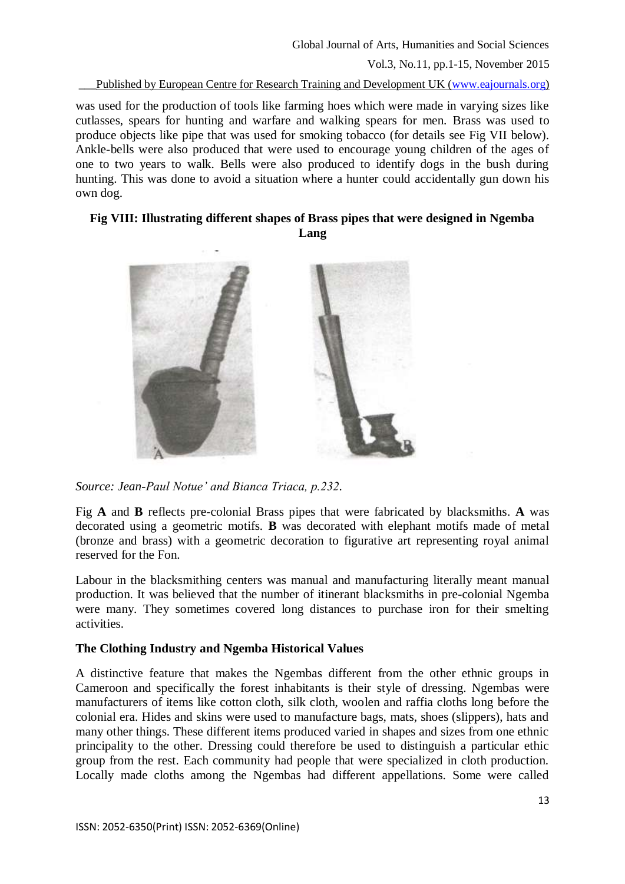Published by European Centre for Research Training and Development UK [\(www.eajournals.org\)](http://www.eajournals.org/)

was used for the production of tools like farming hoes which were made in varying sizes like cutlasses, spears for hunting and warfare and walking spears for men. Brass was used to produce objects like pipe that was used for smoking tobacco (for details see Fig VII below). Ankle-bells were also produced that were used to encourage young children of the ages of one to two years to walk. Bells were also produced to identify dogs in the bush during hunting. This was done to avoid a situation where a hunter could accidentally gun down his own dog.

### **Fig VIII: Illustrating different shapes of Brass pipes that were designed in Ngemba Lang**



*Source: Jean-Paul Notue' and Bianca Triaca, p.232.*

Fig **A** and **B** reflects pre-colonial Brass pipes that were fabricated by blacksmiths. **A** was decorated using a geometric motifs. **B** was decorated with elephant motifs made of metal (bronze and brass) with a geometric decoration to figurative art representing royal animal reserved for the Fon.

Labour in the blacksmithing centers was manual and manufacturing literally meant manual production. It was believed that the number of itinerant blacksmiths in pre-colonial Ngemba were many. They sometimes covered long distances to purchase iron for their smelting activities.

## **The Clothing Industry and Ngemba Historical Values**

A distinctive feature that makes the Ngembas different from the other ethnic groups in Cameroon and specifically the forest inhabitants is their style of dressing. Ngembas were manufacturers of items like cotton cloth, silk cloth, woolen and raffia cloths long before the colonial era. Hides and skins were used to manufacture bags, mats, shoes (slippers), hats and many other things. These different items produced varied in shapes and sizes from one ethnic principality to the other. Dressing could therefore be used to distinguish a particular ethic group from the rest. Each community had people that were specialized in cloth production. Locally made cloths among the Ngembas had different appellations. Some were called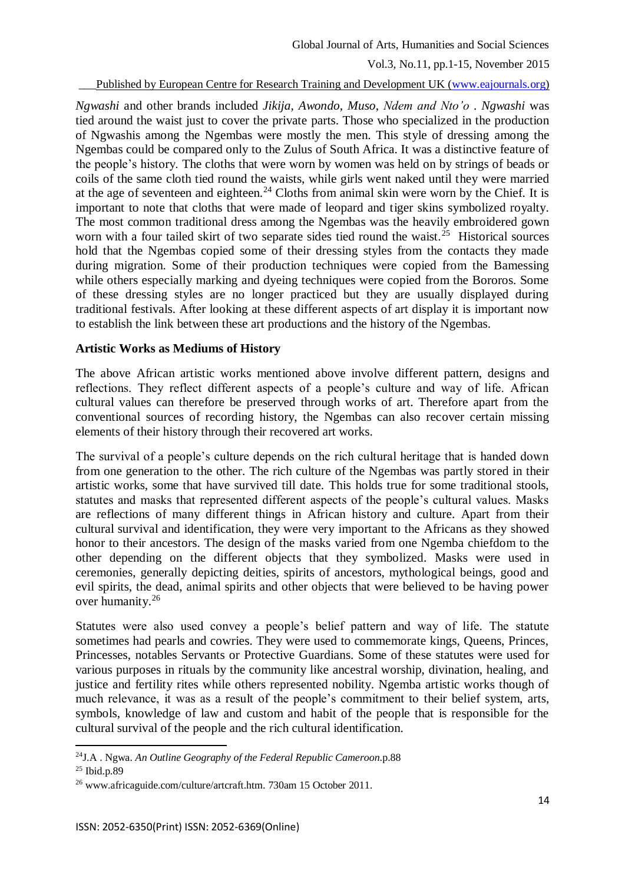Global Journal of Arts, Humanities and Social Sciences

Vol.3, No.11, pp.1-15, November 2015

### Published by European Centre for Research Training and Development UK [\(www.eajournals.org\)](http://www.eajournals.org/)

*Ngwashi* and other brands included *Jikija, Awondo, Muso*, *Ndem and Nto'o* . *Ngwashi* was tied around the waist just to cover the private parts. Those who specialized in the production of Ngwashis among the Ngembas were mostly the men. This style of dressing among the Ngembas could be compared only to the Zulus of South Africa. It was a distinctive feature of the people's history. The cloths that were worn by women was held on by strings of beads or coils of the same cloth tied round the waists, while girls went naked until they were married at the age of seventeen and eighteen.<sup>24</sup> Cloths from animal skin were worn by the Chief. It is important to note that cloths that were made of leopard and tiger skins symbolized royalty. The most common traditional dress among the Ngembas was the heavily embroidered gown worn with a four tailed skirt of two separate sides tied round the waist.<sup>25</sup> Historical sources hold that the Ngembas copied some of their dressing styles from the contacts they made during migration. Some of their production techniques were copied from the Bamessing while others especially marking and dyeing techniques were copied from the Bororos. Some of these dressing styles are no longer practiced but they are usually displayed during traditional festivals. After looking at these different aspects of art display it is important now to establish the link between these art productions and the history of the Ngembas.

## **Artistic Works as Mediums of History**

The above African artistic works mentioned above involve different pattern, designs and reflections. They reflect different aspects of a people's culture and way of life. African cultural values can therefore be preserved through works of art. Therefore apart from the conventional sources of recording history, the Ngembas can also recover certain missing elements of their history through their recovered art works.

The survival of a people's culture depends on the rich cultural heritage that is handed down from one generation to the other. The rich culture of the Ngembas was partly stored in their artistic works, some that have survived till date. This holds true for some traditional stools, statutes and masks that represented different aspects of the people's cultural values. Masks are reflections of many different things in African history and culture. Apart from their cultural survival and identification, they were very important to the Africans as they showed honor to their ancestors. The design of the masks varied from one Ngemba chiefdom to the other depending on the different objects that they symbolized. Masks were used in ceremonies, generally depicting deities, spirits of ancestors, mythological beings, good and evil spirits, the dead, animal spirits and other objects that were believed to be having power over humanity.<sup>26</sup>

Statutes were also used convey a people's belief pattern and way of life. The statute sometimes had pearls and cowries. They were used to commemorate kings, Queens, Princes, Princesses, notables Servants or Protective Guardians. Some of these statutes were used for various purposes in rituals by the community like ancestral worship, divination, healing, and justice and fertility rites while others represented nobility. Ngemba artistic works though of much relevance, it was as a result of the people's commitment to their belief system, arts, symbols, knowledge of law and custom and habit of the people that is responsible for the cultural survival of the people and the rich cultural identification.

<sup>24</sup>J.A . Ngwa. *An Outline Geography of the Federal Republic Cameroon*.p.88 <sup>25</sup> Ibid.p.89

<sup>26</sup> www.africaguide.com/culture/artcraft.htm. 730am 15 October 2011.